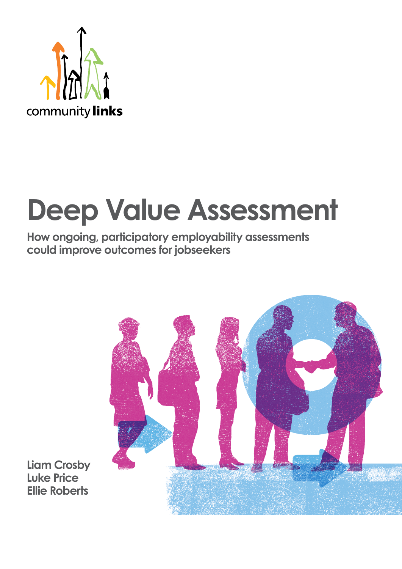

# **Deep Value Assessment**

**How ongoing, participatory employability assessments could improve outcomes for jobseekers**



**Liam Crosby Luke Price Ellie Roberts**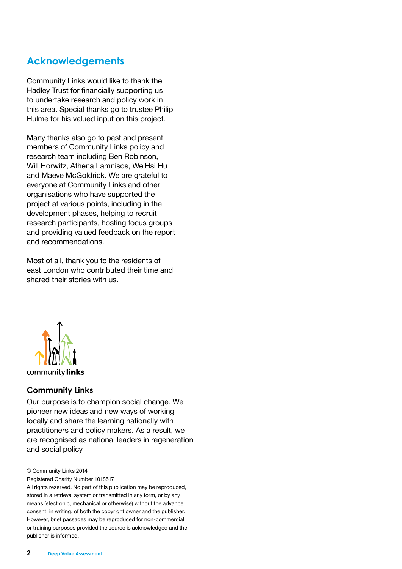# **Acknowledgements**

Community Links would like to thank the Hadley Trust for financially supporting us to undertake research and policy work in this area. Special thanks go to trustee Philip Hulme for his valued input on this project.

Many thanks also go to past and present members of Community Links policy and research team including Ben Robinson, Will Horwitz, Athena Lamnisos, WeiHsi Hu and Maeve McGoldrick. We are grateful to everyone at Community Links and other organisations who have supported the project at various points, including in the development phases, helping to recruit research participants, hosting focus groups and providing valued feedback on the report and recommendations.

Most of all, thank you to the residents of east London who contributed their time and shared their stories with us.



# **Community Links**

Our purpose is to champion social change. We pioneer new ideas and new ways of working locally and share the learning nationally with practitioners and policy makers. As a result, we are recognised as national leaders in regeneration and social policy

© Community Links 2014

Registered Charity Number 1018517

All rights reserved. No part of this publication may be reproduced, stored in a retrieval system or transmitted in any form, or by any means (electronic, mechanical or otherwise) without the advance consent, in writing, of both the copyright owner and the publisher. However, brief passages may be reproduced for non-commercial or training purposes provided the source is acknowledged and the publisher is informed.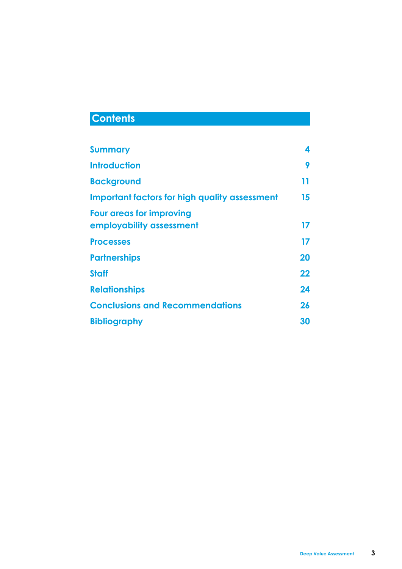# **Contents**

| <b>Summary</b>                                              | 4  |
|-------------------------------------------------------------|----|
| <b>Introduction</b>                                         | 9  |
| <b>Background</b>                                           | 11 |
| <b>Important factors for high quality assessment</b>        | 15 |
| <b>Four areas for improving</b><br>employability assessment | 17 |
| <b>Processes</b>                                            | 17 |
| <b>Partnerships</b>                                         | 20 |
| <b>Staff</b>                                                | 22 |
| <b>Relationships</b>                                        | 24 |
| <b>Conclusions and Recommendations</b>                      | 26 |
| <b>Bibliography</b>                                         | 30 |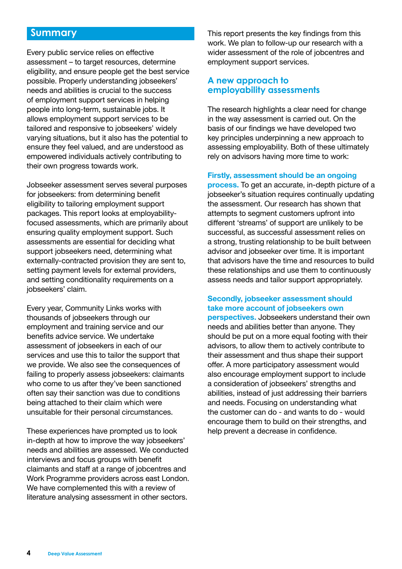# **Summary**

Every public service relies on effective assessment – to target resources, determine eligibility, and ensure people get the best service possible. Properly understanding jobseekers' needs and abilities is crucial to the success of employment support services in helping people into long-term, sustainable jobs. It allows employment support services to be tailored and responsive to jobseekers' widely varying situations, but it also has the potential to ensure they feel valued, and are understood as empowered individuals actively contributing to their own progress towards work.

Jobseeker assessment serves several purposes for jobseekers: from determining benefit eligibility to tailoring employment support packages. This report looks at employabilityfocused assessments, which are primarily about ensuring quality employment support. Such assessments are essential for deciding what support jobseekers need, determining what externally-contracted provision they are sent to, setting payment levels for external providers, and setting conditionality requirements on a jobseekers' claim.

Every year, Community Links works with thousands of jobseekers through our employment and training service and our benefits advice service. We undertake assessment of jobseekers in each of our services and use this to tailor the support that we provide. We also see the consequences of failing to properly assess jobseekers: claimants who come to us after they've been sanctioned often say their sanction was due to conditions being attached to their claim which were unsuitable for their personal circumstances.

These experiences have prompted us to look in-depth at how to improve the way jobseekers' needs and abilities are assessed. We conducted interviews and focus groups with benefit claimants and staff at a range of jobcentres and Work Programme providers across east London. We have complemented this with a review of literature analysing assessment in other sectors.

This report presents the key findings from this work. We plan to follow-up our research with a wider assessment of the role of jobcentres and employment support services.

# **A new approach to employability assessments**

The research highlights a clear need for change in the way assessment is carried out. On the basis of our findings we have developed two key principles underpinning a new approach to assessing employability. Both of these ultimately rely on advisors having more time to work:

#### **Firstly, assessment should be an ongoing**

**process.** To get an accurate, in-depth picture of a jobseeker's situation requires continually updating the assessment. Our research has shown that attempts to segment customers upfront into different 'streams' of support are unlikely to be successful, as successful assessment relies on a strong, trusting relationship to be built between advisor and jobseeker over time. It is important that advisors have the time and resources to build these relationships and use them to continuously assess needs and tailor support appropriately.

# **Secondly, jobseeker assessment should take more account of jobseekers own**

**perspectives.** Jobseekers understand their own needs and abilities better than anyone. They should be put on a more equal footing with their advisors, to allow them to actively contribute to their assessment and thus shape their support offer. A more participatory assessment would also encourage employment support to include a consideration of jobseekers' strengths and abilities, instead of just addressing their barriers and needs. Focusing on understanding what the customer can do - and wants to do - would encourage them to build on their strengths, and help prevent a decrease in confidence.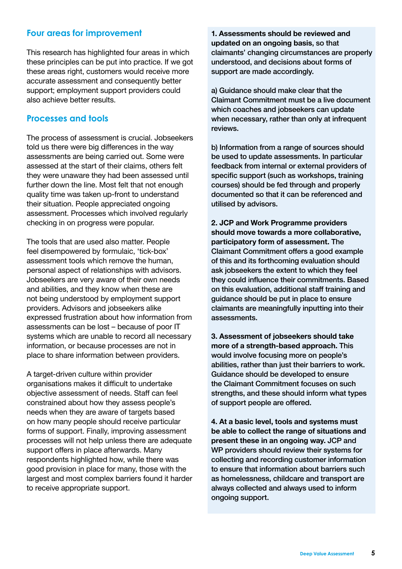# **Four areas for improvement**

This research has highlighted four areas in which these principles can be put into practice. If we got these areas right, customers would receive more accurate assessment and consequently better support; employment support providers could also achieve better results.

# **Processes and tools**

The process of assessment is crucial. Jobseekers told us there were big differences in the way assessments are being carried out. Some were assessed at the start of their claims, others felt they were unaware they had been assessed until further down the line. Most felt that not enough quality time was taken up-front to understand their situation. People appreciated ongoing assessment. Processes which involved regularly checking in on progress were popular.

The tools that are used also matter. People feel disempowered by formulaic, 'tick-box' assessment tools which remove the human, personal aspect of relationships with advisors. Jobseekers are very aware of their own needs and abilities, and they know when these are not being understood by employment support providers. Advisors and jobseekers alike expressed frustration about how information from assessments can be lost – because of poor IT systems which are unable to record all necessary information, or because processes are not in place to share information between providers.

A target-driven culture within provider organisations makes it difficult to undertake objective assessment of needs. Staff can feel constrained about how they assess people's needs when they are aware of targets based on how many people should receive particular forms of support. Finally, improving assessment processes will not help unless there are adequate support offers in place afterwards. Many respondents highlighted how, while there was good provision in place for many, those with the largest and most complex barriers found it harder to receive appropriate support.

**1. Assessments should be reviewed and updated on an ongoing basis**, so that claimants' changing circumstances are properly understood, and decisions about forms of support are made accordingly.

a) Guidance should make clear that the Claimant Commitment must be a live document which coaches and jobseekers can update when necessary, rather than only at infrequent reviews.

b) Information from a range of sources should be used to update assessments. In particular feedback from internal or external providers of specific support (such as workshops, training courses) should be fed through and properly documented so that it can be referenced and utilised by advisors.

**2. JCP and Work Programme providers should move towards a more collaborative, participatory form of assessment.** The Claimant Commitment offers a good example of this and its forthcoming evaluation should ask jobseekers the extent to which they feel they could influence their commitments. Based on this evaluation, additional staff training and guidance should be put in place to ensure claimants are meaningfully inputting into their assessments.

**3. Assessment of jobseekers should take more of a strength-based approach.** This would involve focusing more on people's abilities, rather than just their barriers to work. Guidance should be developed to ensure the Claimant Commitment focuses on such strengths, and these should inform what types of support people are offered.

**4. At a basic level, tools and systems must be able to collect the range of situations and present these in an ongoing way.** JCP and WP providers should review their systems for collecting and recording customer information to ensure that information about barriers such as homelessness, childcare and transport are always collected and always used to inform ongoing support.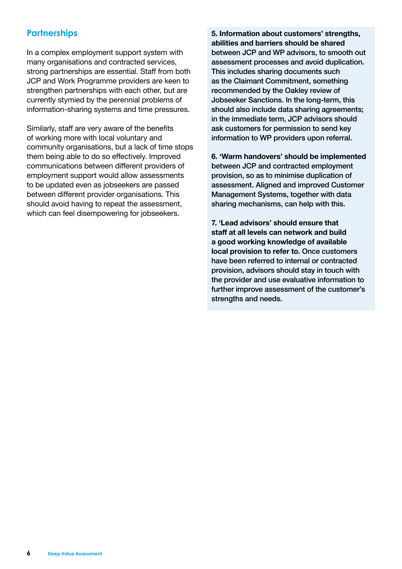# **Partnerships**

In a complex employment support system with many organisations and contracted services, strong partnerships are essential. Staff from both JCP and Work Programme providers are keen to strengthen partnerships with each other, but are currently stymied by the perennial problems of information-sharing systems and time pressures.

Similarly, staff are very aware of the benefits of working more with local voluntary and community organisations, but a lack of time stops them being able to do so effectively. Improved communications between different providers of employment support would allow assessments to be updated even as jobseekers are passed between different provider organisations. This should avoid having to repeat the assessment, which can feel disempowering for jobseekers.

**5. Information about customers' strengths, abilities and barriers should be shared** between JCP and WP advisors, to smooth out assessment processes and avoid duplication. This includes sharing documents such as the Claimant Commitment, something recommended by the Oakley review of Jobseeker Sanctions. In the long-term, this should also include data sharing agreements; in the immediate term, JCP advisors should ask customers for permission to send key information to WP providers upon referral.

**6. 'Warm handovers' should be implemented** between JCP and contracted employment provision, so as to minimise duplication of assessment. Aligned and improved Customer Management Systems, together with data sharing mechanisms, can help with this.

**7. 'Lead advisors' should ensure that staff at all levels can network and build a good working knowledge of available local provision to refer to**. Once customers have been referred to internal or contracted provision, advisors should stay in touch with the provider and use evaluative information to further improve assessment of the customer's strengths and needs.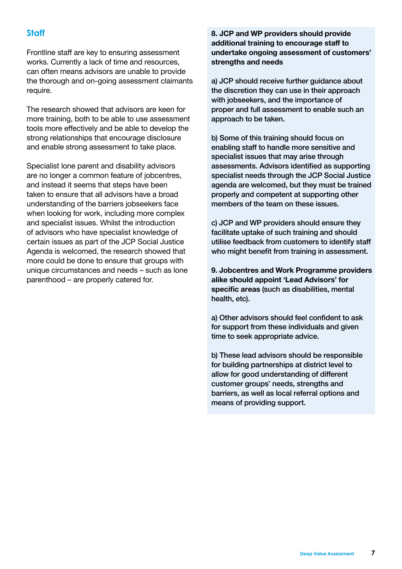# **Staff**

Frontline staff are key to ensuring assessment works. Currently a lack of time and resources, can often means advisors are unable to provide the thorough and on-going assessment claimants require.

The research showed that advisors are keen for more training, both to be able to use assessment tools more effectively and be able to develop the strong relationships that encourage disclosure and enable strong assessment to take place.

Specialist lone parent and disability advisors are no longer a common feature of jobcentres, and instead it seems that steps have been taken to ensure that all advisors have a broad understanding of the barriers jobseekers face when looking for work, including more complex and specialist issues. Whilst the introduction of advisors who have specialist knowledge of certain issues as part of the JCP Social Justice Agenda is welcomed, the research showed that more could be done to ensure that groups with unique circumstances and needs – such as lone parenthood – are properly catered for.

**8. JCP and WP providers should provide additional training to encourage staff to undertake ongoing assessment of customers' strengths and needs**

a) JCP should receive further guidance about the discretion they can use in their approach with jobseekers, and the importance of proper and full assessment to enable such an approach to be taken.

b) Some of this training should focus on enabling staff to handle more sensitive and specialist issues that may arise through assessments. Advisors identified as supporting specialist needs through the JCP Social Justice agenda are welcomed, but they must be trained properly and competent at supporting other members of the team on these issues.

c) JCP and WP providers should ensure they facilitate uptake of such training and should utilise feedback from customers to identify staff who might benefit from training in assessment.

**9. Jobcentres and Work Programme providers alike should appoint 'Lead Advisors' for specific areas** (such as disabilities, mental health, etc).

a) Other advisors should feel confident to ask for support from these individuals and given time to seek appropriate advice.

b) These lead advisors should be responsible for building partnerships at district level to allow for good understanding of different customer groups' needs, strengths and barriers, as well as local referral options and means of providing support.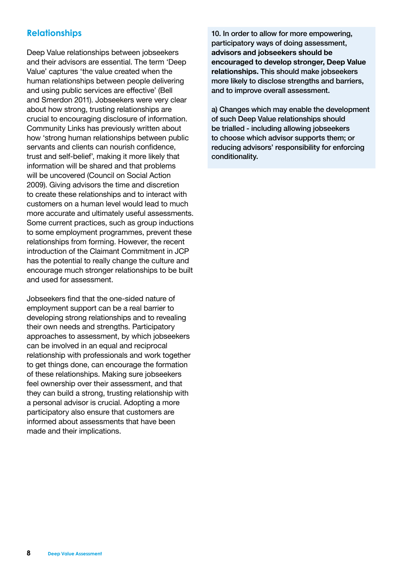# **Relationships**

Deep Value relationships between jobseekers and their advisors are essential. The term 'Deep Value' captures 'the value created when the human relationships between people delivering and using public services are effective' (Bell and Smerdon 2011). Jobseekers were very clear about how strong, trusting relationships are crucial to encouraging disclosure of information. Community Links has previously written about how 'strong human relationships between public servants and clients can nourish confidence, trust and self-belief', making it more likely that information will be shared and that problems will be uncovered (Council on Social Action 2009). Giving advisors the time and discretion to create these relationships and to interact with customers on a human level would lead to much more accurate and ultimately useful assessments. Some current practices, such as group inductions to some employment programmes, prevent these relationships from forming. However, the recent introduction of the Claimant Commitment in JCP has the potential to really change the culture and encourage much stronger relationships to be built and used for assessment.

Jobseekers find that the one-sided nature of employment support can be a real barrier to developing strong relationships and to revealing their own needs and strengths. Participatory approaches to assessment, by which jobseekers can be involved in an equal and reciprocal relationship with professionals and work together to get things done, can encourage the formation of these relationships. Making sure jobseekers feel ownership over their assessment, and that they can build a strong, trusting relationship with a personal advisor is crucial. Adopting a more participatory also ensure that customers are informed about assessments that have been made and their implications.

10. In order to allow for more empowering, participatory ways of doing assessment, **advisors and jobseekers should be encouraged to develop stronger, Deep Value relationships.** This should make jobseekers more likely to disclose strengths and barriers, and to improve overall assessment.

a) Changes which may enable the development of such Deep Value relationships should be trialled - including allowing jobseekers to choose which advisor supports them; or reducing advisors' responsibility for enforcing conditionality.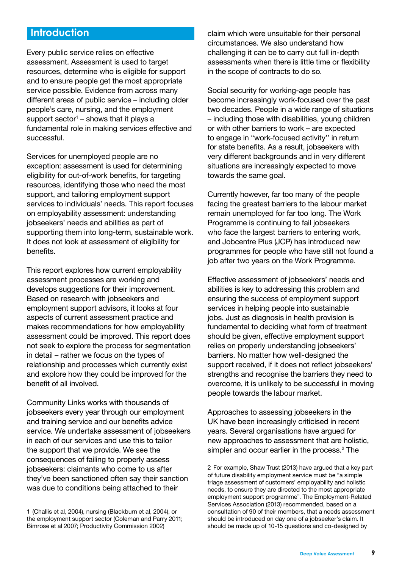# **Introduction**

Every public service relies on effective assessment. Assessment is used to target resources, determine who is eligible for support and to ensure people get the most appropriate service possible. Evidence from across many different areas of public service – including older people's care, nursing, and the employment support sector $1$  – shows that it plays a fundamental role in making services effective and successful.

Services for unemployed people are no exception: assessment is used for determining eligibility for out-of-work benefits, for targeting resources, identifying those who need the most support, and tailoring employment support services to individuals' needs. This report focuses on employability assessment: understanding jobseekers' needs and abilities as part of supporting them into long-term, sustainable work. It does not look at assessment of eligibility for benefits.

This report explores how current employability assessment processes are working and develops suggestions for their improvement. Based on research with jobseekers and employment support advisors, it looks at four aspects of current assessment practice and makes recommendations for how employability assessment could be improved. This report does not seek to explore the process for segmentation in detail – rather we focus on the types of relationship and processes which currently exist and explore how they could be improved for the benefit of all involved.

Community Links works with thousands of jobseekers every year through our employment and training service and our benefits advice service. We undertake assessment of jobseekers in each of our services and use this to tailor the support that we provide. We see the consequences of failing to properly assess jobseekers: claimants who come to us after they've been sanctioned often say their sanction was due to conditions being attached to their

claim which were unsuitable for their personal circumstances. We also understand how challenging it can be to carry out full in-depth assessments when there is little time or flexibility in the scope of contracts to do so.

Social security for working-age people has become increasingly work-focused over the past two decades. People in a wide range of situations – including those with disabilities, young children or with other barriers to work – are expected to engage in "work-focused activity'' in return for state benefits. As a result, jobseekers with very different backgrounds and in very different situations are increasingly expected to move towards the same goal.

Currently however, far too many of the people facing the greatest barriers to the labour market remain unemployed for far too long. The Work Programme is continuing to fail jobseekers who face the largest barriers to entering work, and Jobcentre Plus (JCP) has introduced new programmes for people who have still not found a job after two years on the Work Programme.

Effective assessment of jobseekers' needs and abilities is key to addressing this problem and ensuring the success of employment support services in helping people into sustainable jobs. Just as diagnosis in health provision is fundamental to deciding what form of treatment should be given, effective employment support relies on properly understanding jobseekers' barriers. No matter how well-designed the support received, if it does not reflect jobseekers' strengths and recognise the barriers they need to overcome, it is unlikely to be successful in moving people towards the labour market.

Approaches to assessing jobseekers in the UK have been increasingly criticised in recent years. Several organisations have argued for new approaches to assessment that are holistic, simpler and occur earlier in the process.<sup>2</sup> The

2 For example, Shaw Trust (2013) have argued that a key part of future disability employment service must be "a simple triage assessment of customers' employability and holistic needs, to ensure they are directed to the most appropriate employment support programme". The Employment-Related Services Association (2013) recommended, based on a consultation of 90 of their members, that a needs assessment should be introduced on day one of a jobseeker's claim. It should be made up of 10-15 questions and co-designed by

<sup>1 (</sup>Challis et al, 2004), nursing (Blackburn et al, 2004), or the employment support sector (Coleman and Parry 2011; Bimrose et al 2007; Productivity Commission 2002)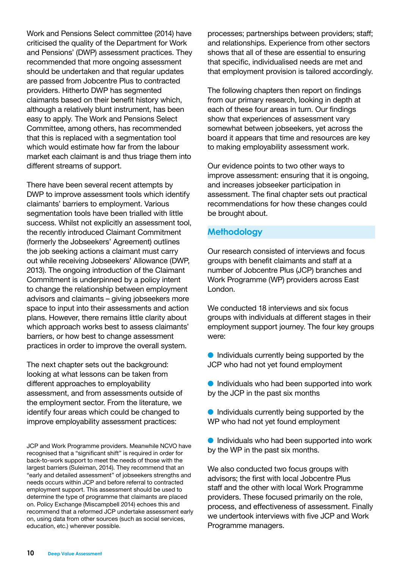Work and Pensions Select committee (2014) have criticised the quality of the Department for Work and Pensions' (DWP) assessment practices. They recommended that more ongoing assessment should be undertaken and that regular updates are passed from Jobcentre Plus to contracted providers. Hitherto DWP has segmented claimants based on their benefit history which, although a relatively blunt instrument, has been easy to apply. The Work and Pensions Select Committee, among others, has recommended that this is replaced with a segmentation tool which would estimate how far from the labour market each claimant is and thus triage them into different streams of support.

There have been several recent attempts by DWP to improve assessment tools which identify claimants' barriers to employment. Various segmentation tools have been trialled with little success. Whilst not explicitly an assessment tool, the recently introduced Claimant Commitment (formerly the Jobseekers' Agreement) outlines the job seeking actions a claimant must carry out while receiving Jobseekers' Allowance (DWP, 2013). The ongoing introduction of the Claimant Commitment is underpinned by a policy intent to change the relationship between employment advisors and claimants – giving jobseekers more space to input into their assessments and action plans. However, there remains little clarity about which approach works best to assess claimants' barriers, or how best to change assessment practices in order to improve the overall system.

The next chapter sets out the background: looking at what lessons can be taken from different approaches to employability assessment, and from assessments outside of the employment sector. From the literature, we identify four areas which could be changed to improve employability assessment practices:

JCP and Work Programme providers. Meanwhile NCVO have recognised that a "significant shift" is required in order for back-to-work support to meet the needs of those with the largest barriers (Suleiman, 2014). They recommend that an "early and detailed assessment" of jobseekers strengths and needs occurs within JCP and before referral to contracted employment support. This assessment should be used to determine the type of programme that claimants are placed on. Policy Exchange (Miscampbell 2014) echoes this and recommend that a reformed JCP undertake assessment early on, using data from other sources (such as social services, education, etc.) wherever possible.

processes; partnerships between providers; staff; and relationships. Experience from other sectors shows that all of these are essential to ensuring that specific, individualised needs are met and that employment provision is tailored accordingly.

The following chapters then report on findings from our primary research, looking in depth at each of these four areas in turn. Our findings show that experiences of assessment vary somewhat between jobseekers, yet across the board it appears that time and resources are key to making employability assessment work.

Our evidence points to two other ways to improve assessment: ensuring that it is ongoing, and increases jobseeker participation in assessment. The final chapter sets out practical recommendations for how these changes could be brought about.

# **Methodology**

Our research consisted of interviews and focus groups with benefit claimants and staff at a number of Jobcentre Plus (JCP) branches and Work Programme (WP) providers across East London.

We conducted 18 interviews and six focus groups with individuals at different stages in their employment support journey. The four key groups were:

- $\bullet$  Individuals currently being supported by the JCP who had not yet found employment
- $\bullet$  Individuals who had been supported into work by the JCP in the past six months
- $\bullet$  Individuals currently being supported by the WP who had not yet found employment
- **Individuals who had been supported into work** by the WP in the past six months.

We also conducted two focus groups with advisors; the first with local Jobcentre Plus staff and the other with local Work Programme providers. These focused primarily on the role, process, and effectiveness of assessment. Finally we undertook interviews with five JCP and Work Programme managers.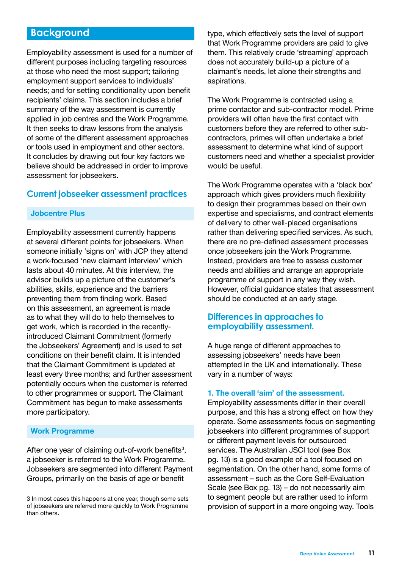# **Background**

Employability assessment is used for a number of different purposes including targeting resources at those who need the most support; tailoring employment support services to individuals' needs; and for setting conditionality upon benefit recipients' claims. This section includes a brief summary of the way assessment is currently applied in job centres and the Work Programme. It then seeks to draw lessons from the analysis of some of the different assessment approaches or tools used in employment and other sectors. It concludes by drawing out four key factors we believe should be addressed in order to improve assessment for jobseekers.

# **Current jobseeker assessment practices**

#### **Jobcentre Plus**

Employability assessment currently happens at several different points for jobseekers. When someone initially 'signs on' with JCP they attend a work-focused 'new claimant interview' which lasts about 40 minutes. At this interview, the advisor builds up a picture of the customer's abilities, skills, experience and the barriers preventing them from finding work. Based on this assessment, an agreement is made as to what they will do to help themselves to get work, which is recorded in the recentlyintroduced Claimant Commitment (formerly the Jobseekers' Agreement) and is used to set conditions on their benefit claim. It is intended that the Claimant Commitment is updated at least every three months; and further assessment potentially occurs when the customer is referred to other programmes or support. The Claimant Commitment has begun to make assessments more participatory.

#### **Work Programme**

After one year of claiming out-of-work benefits<sup>3</sup>, a jobseeker is referred to the Work Programme. Jobseekers are segmented into different Payment Groups, primarily on the basis of age or benefit

3 In most cases this happens at one year, though some sets of jobseekers are referred more quickly to Work Programme than others.

type, which effectively sets the level of support that Work Programme providers are paid to give them. This relatively crude 'streaming' approach does not accurately build-up a picture of a claimant's needs, let alone their strengths and aspirations.

The Work Programme is contracted using a prime contactor and sub-contractor model. Prime providers will often have the first contact with customers before they are referred to other subcontractors, primes will often undertake a brief assessment to determine what kind of support customers need and whether a specialist provider would be useful.

The Work Programme operates with a 'black box' approach which gives providers much flexibility to design their programmes based on their own expertise and specialisms, and contract elements of delivery to other well-placed organisations rather than delivering specified services. As such, there are no pre-defined assessment processes once jobseekers join the Work Programme. Instead, providers are free to assess customer needs and abilities and arrange an appropriate programme of support in any way they wish. However, official guidance states that assessment should be conducted at an early stage.

# **Differences in approaches to employability assessment.**

A huge range of different approaches to assessing jobseekers' needs have been attempted in the UK and internationally. These vary in a number of ways:

#### **1. The overall 'aim' of the assessment.**

Employability assessments differ in their overall purpose, and this has a strong effect on how they operate. Some assessments focus on segmenting jobseekers into different programmes of support or different payment levels for outsourced services. The Australian JSCI tool (see Box pg. 13) is a good example of a tool focused on segmentation. On the other hand, some forms of assessment – such as the Core Self-Evaluation Scale (see Box pg. 13) – do not necessarily aim to segment people but are rather used to inform provision of support in a more ongoing way. Tools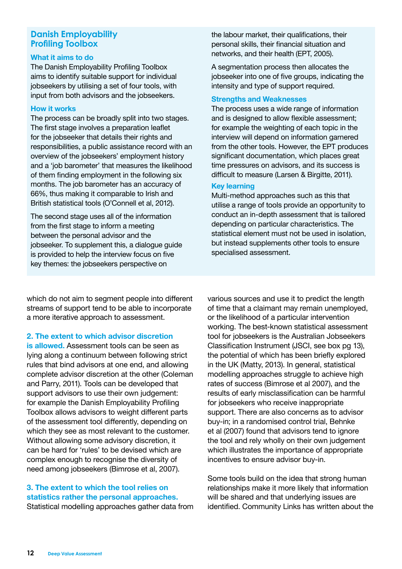# **Danish Employability Profiling Toolbox**

#### **What it aims to do**

The Danish Employability Profiling Toolbox aims to identify suitable support for individual jobseekers by utilising a set of four tools, with input from both advisors and the jobseekers.

#### **How it works**

The process can be broadly split into two stages. The first stage involves a preparation leaflet for the jobseeker that details their rights and responsibilities, a public assistance record with an overview of the jobseekers' employment history and a 'job barometer' that measures the likelihood of them finding employment in the following six months. The job barometer has an accuracy of 66%, thus making it comparable to Irish and British statistical tools (O'Connell et al, 2012).

The second stage uses all of the information from the first stage to inform a meeting between the personal advisor and the jobseeker. To supplement this, a dialogue guide is provided to help the interview focus on five key themes: the jobseekers perspective on

the labour market, their qualifications, their personal skills, their financial situation and networks, and their health (EPT, 2005).

A segmentation process then allocates the jobseeker into one of five groups, indicating the intensity and type of support required.

#### **Strengths and Weaknesses**

The process uses a wide range of information and is designed to allow flexible assessment; for example the weighting of each topic in the interview will depend on information garnered from the other tools. However, the EPT produces significant documentation, which places great time pressures on advisors, and its success is difficult to measure (Larsen & Birgitte, 2011).

# **Key learning**

Multi-method approaches such as this that utilise a range of tools provide an opportunity to conduct an in-depth assessment that is tailored depending on particular characteristics. The statistical element must not be used in isolation, but instead supplements other tools to ensure specialised assessment.

which do not aim to segment people into different streams of support tend to be able to incorporate a more iterative approach to assessment.

# **2. The extent to which advisor discretion**

**is allowed.** Assessment tools can be seen as lying along a continuum between following strict rules that bind advisors at one end, and allowing complete advisor discretion at the other (Coleman and Parry, 2011). Tools can be developed that support advisors to use their own judgement: for example the Danish Employability Profiling Toolbox allows advisors to weight different parts of the assessment tool differently, depending on which they see as most relevant to the customer. Without allowing some advisory discretion, it can be hard for 'rules' to be devised which are complex enough to recognise the diversity of need among jobseekers (Bimrose et al, 2007).

# **3. The extent to which the tool relies on statistics rather the personal approaches.** Statistical modelling approaches gather data from

various sources and use it to predict the length of time that a claimant may remain unemployed, or the likelihood of a particular intervention working. The best-known statistical assessment tool for jobseekers is the Australian Jobseekers Classification Instrument (JSCI, see box pg 13), the potential of which has been briefly explored in the UK (Matty, 2013). In general, statistical modelling approaches struggle to achieve high rates of success (Bimrose et al 2007), and the results of early misclassification can be harmful for jobseekers who receive inappropriate support. There are also concerns as to advisor buy-in; in a randomised control trial, Behnke et al (2007) found that advisors tend to ignore the tool and rely wholly on their own judgement which illustrates the importance of appropriate incentives to ensure advisor buy-in.

Some tools build on the idea that strong human relationships make it more likely that information will be shared and that underlying issues are identified. Community Links has written about the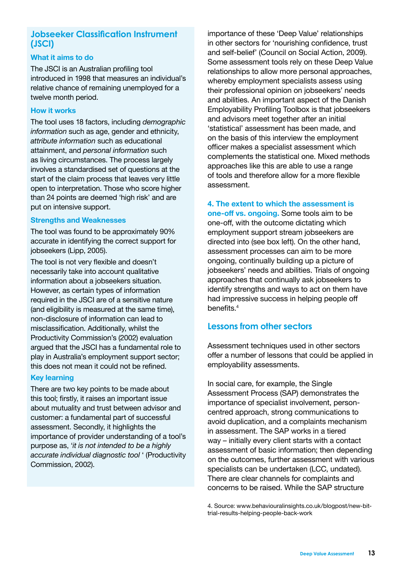# **Jobseeker Classification Instrument (JSCI)**

# **What it aims to do**

The JSCI is an Australian profiling tool introduced in 1998 that measures an individual's relative chance of remaining unemployed for a twelve month period.

#### **How it works**

The tool uses 18 factors, including *demographic information* such as age, gender and ethnicity, *attribute information* such as educational attainment, and *personal information* such as living circumstances. The process largely involves a standardised set of questions at the start of the claim process that leaves very little open to interpretation. Those who score higher than 24 points are deemed 'high risk' and are put on intensive support.

#### **Strengths and Weaknesses**

The tool was found to be approximately 90% accurate in identifying the correct support for jobseekers (Lipp, 2005).

The tool is not very flexible and doesn't necessarily take into account qualitative information about a jobseekers situation. However, as certain types of information required in the JSCI are of a sensitive nature (and eligibility is measured at the same time), non-disclosure of information can lead to misclassification. Additionally, whilst the Productivity Commission's (2002) evaluation argued that the JSCI has a fundamental role to play in Australia's employment support sector; this does not mean it could not be refined.

#### **Key learning**

There are two key points to be made about this tool; firstly, it raises an important issue about mutuality and trust between advisor and customer: a fundamental part of successful assessment. Secondly, it highlights the importance of provider understanding of a tool's purpose as, '*it is not intended to be a highly accurate individual diagnostic tool* ' (Productivity Commission, 2002).

importance of these 'Deep Value' relationships in other sectors for 'nourishing confidence, trust and self-belief' (Council on Social Action, 2009). Some assessment tools rely on these Deep Value relationships to allow more personal approaches, whereby employment specialists assess using their professional opinion on jobseekers' needs and abilities. An important aspect of the Danish Employability Profiling Toolbox is that jobseekers and advisors meet together after an initial 'statistical' assessment has been made, and on the basis of this interview the employment officer makes a specialist assessment which complements the statistical one. Mixed methods approaches like this are able to use a range of tools and therefore allow for a more flexible assessment.

**4. The extent to which the assessment is one-off vs. ongoing.** Some tools aim to be one-off, with the outcome dictating which employment support stream jobseekers are directed into (see box left). On the other hand, assessment processes can aim to be more ongoing, continually building up a picture of jobseekers' needs and abilities. Trials of ongoing approaches that continually ask jobseekers to identify strengths and ways to act on them have had impressive success in helping people off benefits.<sup>4</sup>

# **Lessons from other sectors**

Assessment techniques used in other sectors offer a number of lessons that could be applied in employability assessments.

In social care, for example, the Single Assessment Process (SAP) demonstrates the importance of specialist involvement, personcentred approach, strong communications to avoid duplication, and a complaints mechanism in assessment. The SAP works in a tiered way – initially every client starts with a contact assessment of basic information; then depending on the outcomes, further assessment with various specialists can be undertaken (LCC, undated). There are clear channels for complaints and concerns to be raised. While the SAP structure

4. Source: www.behaviouralinsights.co.uk/blogpost/new-bittrial-results-helping-people-back-work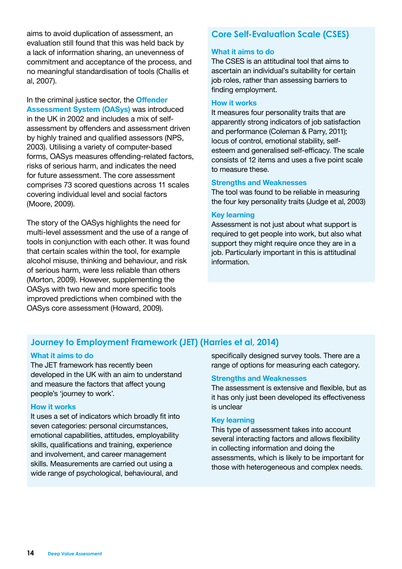aims to avoid duplication of assessment, an evaluation still found that this was held back by a lack of information sharing, an unevenness of commitment and acceptance of the process, and no meaningful standardisation of tools (Challis et al, 2007).

In the criminal justice sector, the **Offender Assessment System (OASys)** was introduced in the UK in 2002 and includes a mix of selfassessment by offenders and assessment driven by highly trained and qualified assessors (NPS, 2003). Utilising a variety of computer-based forms, OASys measures offending-related factors, risks of serious harm, and indicates the need for future assessment. The core assessment comprises 73 scored questions across 11 scales covering individual level and social factors (Moore, 2009).

The story of the OASys highlights the need for multi-level assessment and the use of a range of tools in conjunction with each other. It was found that certain scales within the tool, for example alcohol misuse, thinking and behaviour, and risk of serious harm, were less reliable than others (Morton, 2009). However, supplementing the OASys with two new and more specific tools improved predictions when combined with the OASys core assessment (Howard, 2009).

# **Core Self-Evaluation Scale (CSES)**

#### **What it aims to do**

The CSES is an attitudinal tool that aims to ascertain an individual's suitability for certain job roles, rather than assessing barriers to finding employment.

#### **How it works**

It measures four personality traits that are apparently strong indicators of job satisfaction and performance (Coleman & Parry, 2011); locus of control, emotional stability, selfesteem and generalised self-efficacy. The scale consists of 12 items and uses a five point scale to measure these.

#### **Strengths and Weaknesses**

The tool was found to be reliable in measuring the four key personality traits (Judge et al, 2003)

#### **Key learning**

Assessment is not just about what support is required to get people into work, but also what support they might require once they are in a job. Particularly important in this is attitudinal information.

# **Journey to Employment Framework (JET) (Harries et al, 2014)**

#### **What it aims to do**

The JET framework has recently been developed in the UK with an aim to understand and measure the factors that affect young people's 'journey to work'.

#### **How it works**

It uses a set of indicators which broadly fit into seven categories: personal circumstances, emotional capabilities, attitudes, employability skills, qualifications and training, experience and involvement, and career management skills. Measurements are carried out using a wide range of psychological, behavioural, and

specifically designed survey tools. There are a range of options for measuring each category.

#### **Strengths and Weaknesses**

The assessment is extensive and flexible, but as it has only just been developed its effectiveness is unclear

#### **Key learning**

This type of assessment takes into account several interacting factors and allows flexibility in collecting information and doing the assessments, which is likely to be important for those with heterogeneous and complex needs.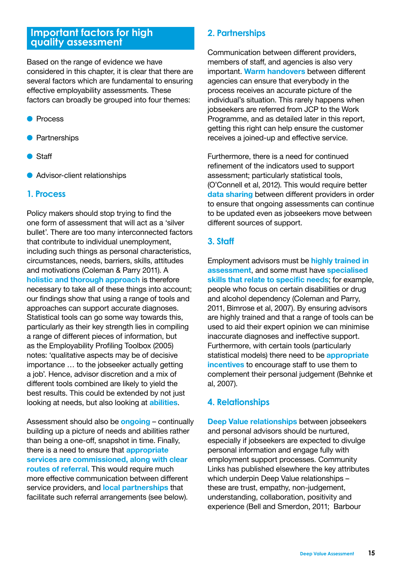# **Important factors for high quality assessment**

Based on the range of evidence we have considered in this chapter, it is clear that there are several factors which are fundamental to ensuring effective employability assessments. These factors can broadly be grouped into four themes:

- Process
- **•** Partnerships
- $\bullet$  Staff
- **Advisor-client relationships**

# **1. Process**

Policy makers should stop trying to find the one form of assessment that will act as a 'silver bullet'. There are too many interconnected factors that contribute to individual unemployment, including such things as personal characteristics, circumstances, needs, barriers, skills, attitudes and motivations (Coleman & Parry 2011). A **holistic and thorough approach** is therefore necessary to take all of these things into account; our findings show that using a range of tools and approaches can support accurate diagnoses. Statistical tools can go some way towards this, particularly as their key strength lies in compiling a range of different pieces of information, but as the Employability Profiling Toolbox (2005) notes: 'qualitative aspects may be of decisive importance … to the jobseeker actually getting a job'. Hence, advisor discretion and a mix of different tools combined are likely to yield the best results. This could be extended by not just looking at needs, but also looking at **abilities**.

Assessment should also be **ongoing** – continually building up a picture of needs and abilities rather than being a one-off, snapshot in time. Finally, there is a need to ensure that **appropriate services are commissioned, along with clear routes of referral**. This would require much more effective communication between different service providers, and **local partnerships** that facilitate such referral arrangements (see below).

# **2. Partnerships**

Communication between different providers, members of staff, and agencies is also very important. **Warm handovers** between different agencies can ensure that everybody in the process receives an accurate picture of the individual's situation. This rarely happens when jobseekers are referred from JCP to the Work Programme, and as detailed later in this report, getting this right can help ensure the customer receives a joined-up and effective service.

Furthermore, there is a need for continued refinement of the indicators used to support assessment; particularly statistical tools, (O'Connell et al, 2012). This would require better **data sharing** between different providers in order to ensure that ongoing assessments can continue to be updated even as jobseekers move between different sources of support.

# **3. Staff**

Employment advisors must be **highly trained in assessment**, and some must have **specialised skills that relate to specific needs**; for example, people who focus on certain disabilities or drug and alcohol dependency (Coleman and Parry, 2011, Bimrose et al, 2007). By ensuring advisors are highly trained and that a range of tools can be used to aid their expert opinion we can minimise inaccurate diagnoses and ineffective support. Furthermore, with certain tools (particularly statistical models) there need to be **appropriate incentives** to encourage staff to use them to complement their personal judgement (Behnke et al, 2007).

# **4. Relationships**

**Deep Value relationships** between jobseekers and personal advisors should be nurtured, especially if jobseekers are expected to divulge personal information and engage fully with employment support processes. Community Links has published elsewhere the key attributes which underpin Deep Value relationships – these are trust, empathy, non-judgement, understanding, collaboration, positivity and experience (Bell and Smerdon, 2011; Barbour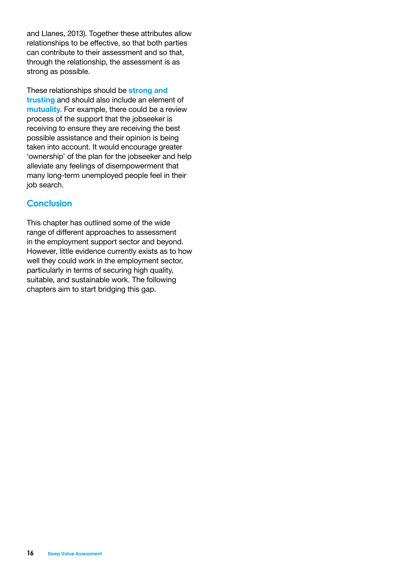and Llanes, 2013). Together these attributes allow relationships to be effective, so that both parties can contribute to their assessment and so that, through the relationship, the assessment is as strong as possible.

These relationships should be **strong and trusting** and should also include an element of **mutuality**. For example, there could be a review process of the support that the jobseeker is receiving to ensure they are receiving the best possible assistance and their opinion is being taken into account. It would encourage greater 'ownership' of the plan for the jobseeker and help alleviate any feelings of disempowerment that many long-term unemployed people feel in their job search.

# **Conclusion**

This chapter has outlined some of the wide range of different approaches to assessment in the employment support sector and beyond. However, little evidence currently exists as to how well they could work in the employment sector, particularly in terms of securing high quality, suitable, and sustainable work. The following chapters aim to start bridging this gap.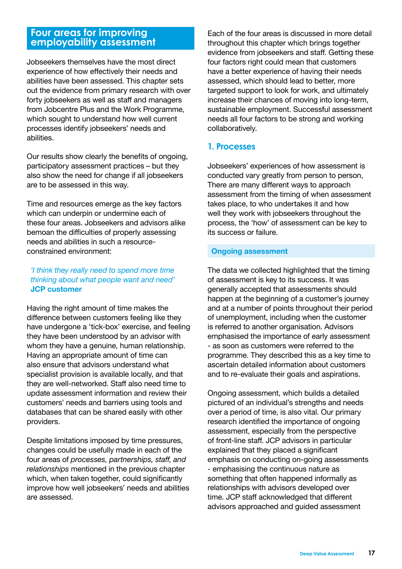# **Four areas for improving employability assessment**

Jobseekers themselves have the most direct experience of how effectively their needs and abilities have been assessed. This chapter sets out the evidence from primary research with over forty jobseekers as well as staff and managers from Jobcentre Plus and the Work Programme, which sought to understand how well current processes identify jobseekers' needs and abilities.

Our results show clearly the benefits of ongoing, participatory assessment practices – but they also show the need for change if all jobseekers are to be assessed in this way.

Time and resources emerge as the key factors which can underpin or undermine each of these four areas. Jobseekers and advisors alike bemoan the difficulties of properly assessing needs and abilities in such a resourceconstrained environment:

# *'I think they really need to spend more time thinking about what people want and need'* **JCP customer**

Having the right amount of time makes the difference between customers feeling like they have undergone a 'tick-box' exercise, and feeling they have been understood by an advisor with whom they have a genuine, human relationship. Having an appropriate amount of time can also ensure that advisors understand what specialist provision is available locally, and that they are well-networked. Staff also need time to update assessment information and review their customers' needs and barriers using tools and databases that can be shared easily with other providers.

Despite limitations imposed by time pressures, changes could be usefully made in each of the four areas of *processes, partnerships, staff, and relationships* mentioned in the previous chapter which, when taken together, could significantly improve how well jobseekers' needs and abilities are assessed.

Each of the four areas is discussed in more detail throughout this chapter which brings together evidence from jobseekers and staff. Getting these four factors right could mean that customers have a better experience of having their needs assessed, which should lead to better, more targeted support to look for work, and ultimately increase their chances of moving into long-term, sustainable employment. Successful assessment needs all four factors to be strong and working collaboratively.

# **1. Processes**

Jobseekers' experiences of how assessment is conducted vary greatly from person to person, There are many different ways to approach assessment from the timing of when assessment takes place, to who undertakes it and how well they work with jobseekers throughout the process, the 'how' of assessment can be key to its success or failure.

# **Ongoing assessment**

The data we collected highlighted that the timing of assessment is key to its success. It was generally accepted that assessments should happen at the beginning of a customer's journey and at a number of points throughout their period of unemployment, including when the customer is referred to another organisation. Advisors emphasised the importance of early assessment - as soon as customers were referred to the programme. They described this as a key time to ascertain detailed information about customers and to re-evaluate their goals and aspirations.

Ongoing assessment, which builds a detailed pictured of an individual's strengths and needs over a period of time, is also vital. Our primary research identified the importance of ongoing assessment, especially from the perspective of front-line staff. JCP advisors in particular explained that they placed a significant emphasis on conducting on-going assessments - emphasising the continuous nature as something that often happened informally as relationships with advisors developed over time. JCP staff acknowledged that different advisors approached and guided assessment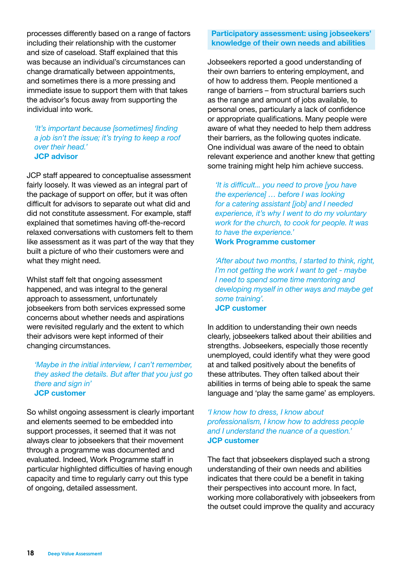processes differently based on a range of factors including their relationship with the customer and size of caseload. Staff explained that this was because an individual's circumstances can change dramatically between appointments, and sometimes there is a more pressing and immediate issue to support them with that takes the advisor's focus away from supporting the individual into work.

*'It's important because [sometimes] finding a job isn't the issue; it's trying to keep a roof over their head.'*  **JCP advisor** 

JCP staff appeared to conceptualise assessment fairly loosely. It was viewed as an integral part of the package of support on offer, but it was often difficult for advisors to separate out what did and did not constitute assessment. For example, staff explained that sometimes having off-the-record relaxed conversations with customers felt to them like assessment as it was part of the way that they built a picture of who their customers were and what they might need.

Whilst staff felt that ongoing assessment happened, and was integral to the general approach to assessment, unfortunately jobseekers from both services expressed some concerns about whether needs and aspirations were revisited regularly and the extent to which their advisors were kept informed of their changing circumstances.

*'Maybe in the initial interview, I can't remember, they asked the details. But after that you just go there and sign in'*  **JCP customer**

So whilst ongoing assessment is clearly important and elements seemed to be embedded into support processes, it seemed that it was not always clear to jobseekers that their movement through a programme was documented and evaluated. Indeed, Work Programme staff in particular highlighted difficulties of having enough capacity and time to regularly carry out this type of ongoing, detailed assessment.

# **Participatory assessment: using jobseekers' knowledge of their own needs and abilities**

Jobseekers reported a good understanding of their own barriers to entering employment, and of how to address them. People mentioned a range of barriers – from structural barriers such as the range and amount of jobs available, to personal ones, particularly a lack of confidence or appropriate qualifications. Many people were aware of what they needed to help them address their barriers, as the following quotes indicate. One individual was aware of the need to obtain relevant experience and another knew that getting some training might help him achieve success.

*'It is difficult... you need to prove [you have the experience] … before I was looking for a catering assistant [job] and I needed experience, it's why I went to do my voluntary work for the church, to cook for people. It was to have the experience.'*  **Work Programme customer**

*'After about two months, I started to think, right, I'm not getting the work I want to get - maybe I need to spend some time mentoring and developing myself in other ways and maybe get some training'.*  **JCP customer**

In addition to understanding their own needs clearly, jobseekers talked about their abilities and strengths. Jobseekers, especially those recently unemployed, could identify what they were good at and talked positively about the benefits of these attributes. They often talked about their abilities in terms of being able to speak the same language and 'play the same game' as employers.

*'I know how to dress, I know about professionalism, I know how to address people and I understand the nuance of a question.'*  **JCP customer**

The fact that jobseekers displayed such a strong understanding of their own needs and abilities indicates that there could be a benefit in taking their perspectives into account more. In fact, working more collaboratively with jobseekers from the outset could improve the quality and accuracy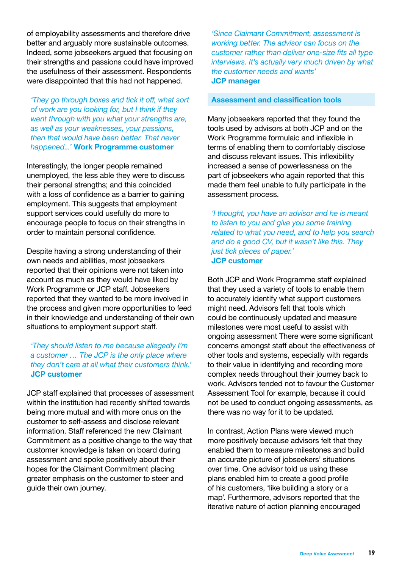of employability assessments and therefore drive better and arguably more sustainable outcomes. Indeed, some jobseekers argued that focusing on their strengths and passions could have improved the usefulness of their assessment. Respondents were disappointed that this had not happened.

*'They go through boxes and tick it off, what sort of work are you looking for, but I think if they went through with you what your strengths are, as well as your weaknesses, your passions, then that would have been better. That never happened...'* **Work Programme customer**

Interestingly, the longer people remained unemployed, the less able they were to discuss their personal strengths; and this coincided with a loss of confidence as a barrier to gaining employment. This suggests that employment support services could usefully do more to encourage people to focus on their strengths in order to maintain personal confidence.

Despite having a strong understanding of their own needs and abilities, most jobseekers reported that their opinions were not taken into account as much as they would have liked by Work Programme or JCP staff. Jobseekers reported that they wanted to be more involved in the process and given more opportunities to feed in their knowledge and understanding of their own situations to employment support staff.

# *'They should listen to me because allegedly I'm a customer … The JCP is the only place where they don't care at all what their customers think.'*  **JCP customer**

JCP staff explained that processes of assessment within the institution had recently shifted towards being more mutual and with more onus on the customer to self-assess and disclose relevant information. Staff referenced the new Claimant Commitment as a positive change to the way that customer knowledge is taken on board during assessment and spoke positively about their hopes for the Claimant Commitment placing greater emphasis on the customer to steer and guide their own journey.

*'Since Claimant Commitment, assessment is working better. The advisor can focus on the customer rather than deliver one-size fits all type interviews. It's actually very much driven by what the customer needs and wants'*  **JCP manager**

#### **Assessment and classification tools**

Many jobseekers reported that they found the tools used by advisors at both JCP and on the Work Programme formulaic and inflexible in terms of enabling them to comfortably disclose and discuss relevant issues. This inflexibility increased a sense of powerlessness on the part of jobseekers who again reported that this made them feel unable to fully participate in the assessment process.

*'I thought, you have an advisor and he is meant to listen to you and give you some training related to what you need, and to help you search and do a good CV, but it wasn't like this. They just tick pieces of paper.'*  **JCP customer**

Both JCP and Work Programme staff explained that they used a variety of tools to enable them to accurately identify what support customers might need. Advisors felt that tools which could be continuously updated and measure milestones were most useful to assist with ongoing assessment There were some significant concerns amongst staff about the effectiveness of other tools and systems, especially with regards to their value in identifying and recording more complex needs throughout their journey back to work. Advisors tended not to favour the Customer Assessment Tool for example, because it could not be used to conduct ongoing assessments, as there was no way for it to be updated.

In contrast, Action Plans were viewed much more positively because advisors felt that they enabled them to measure milestones and build an accurate picture of jobseekers' situations over time. One advisor told us using these plans enabled him to create a good profile of his customers, 'like building a story or a map'. Furthermore, advisors reported that the iterative nature of action planning encouraged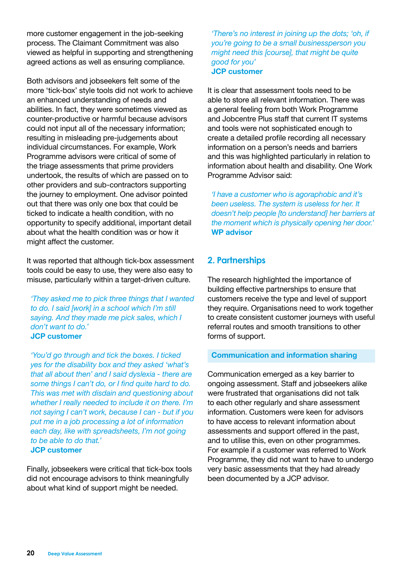more customer engagement in the job-seeking process. The Claimant Commitment was also viewed as helpful in supporting and strengthening agreed actions as well as ensuring compliance.

Both advisors and jobseekers felt some of the more 'tick-box' style tools did not work to achieve an enhanced understanding of needs and abilities. In fact, they were sometimes viewed as counter-productive or harmful because advisors could not input all of the necessary information; resulting in misleading pre-judgements about individual circumstances. For example, Work Programme advisors were critical of some of the triage assessments that prime providers undertook, the results of which are passed on to other providers and sub-contractors supporting the journey to employment. One advisor pointed out that there was only one box that could be ticked to indicate a health condition, with no opportunity to specify additional, important detail about what the health condition was or how it might affect the customer.

It was reported that although tick-box assessment tools could be easy to use, they were also easy to misuse, particularly within a target-driven culture.

*'They asked me to pick three things that I wanted to do. I said [work] in a school which I'm still saying. And they made me pick sales, which I don't want to do.'*  **JCP customer**

*'You'd go through and tick the boxes. I ticked yes for the disability box and they asked 'what's that all about then' and I said dyslexia - there are some things I can't do, or I find quite hard to do. This was met with disdain and questioning about whether I really needed to include it on there. I'm not saying I can't work, because I can - but if you put me in a job processing a lot of information each day, like with spreadsheets, I'm not going to be able to do that.'*  **JCP customer**

Finally, jobseekers were critical that tick-box tools did not encourage advisors to think meaningfully about what kind of support might be needed.

*'There's no interest in joining up the dots; 'oh, if you're going to be a small businessperson you might need this [course], that might be quite good for you'*  **JCP customer**

It is clear that assessment tools need to be able to store all relevant information. There was a general feeling from both Work Programme and Jobcentre Plus staff that current IT systems and tools were not sophisticated enough to create a detailed profile recording all necessary information on a person's needs and barriers and this was highlighted particularly in relation to information about health and disability. One Work Programme Advisor said:

*'I have a customer who is agoraphobic and it's been useless. The system is useless for her. It doesn't help people [to understand] her barriers at the moment which is physically opening her door.'*  **WP advisor**

# **2. Partnerships**

The research highlighted the importance of building effective partnerships to ensure that customers receive the type and level of support they require. Organisations need to work together to create consistent customer journeys with useful referral routes and smooth transitions to other forms of support.

# **Communication and information sharing**

Communication emerged as a key barrier to ongoing assessment. Staff and jobseekers alike were frustrated that organisations did not talk to each other regularly and share assessment information. Customers were keen for advisors to have access to relevant information about assessments and support offered in the past, and to utilise this, even on other programmes. For example if a customer was referred to Work Programme, they did not want to have to undergo very basic assessments that they had already been documented by a JCP advisor.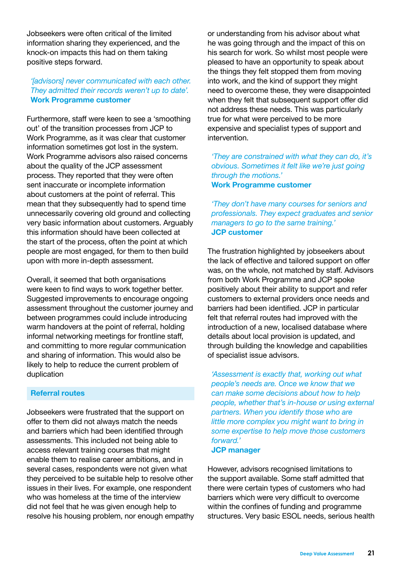Jobseekers were often critical of the limited information sharing they experienced, and the knock-on impacts this had on them taking positive steps forward.

# *'[advisors] never communicated with each other. They admitted their records weren't up to date'.* **Work Programme customer**

Furthermore, staff were keen to see a 'smoothing out' of the transition processes from JCP to Work Programme, as it was clear that customer information sometimes got lost in the system. Work Programme advisors also raised concerns about the quality of the JCP assessment process. They reported that they were often sent inaccurate or incomplete information about customers at the point of referral. This mean that they subsequently had to spend time unnecessarily covering old ground and collecting very basic information about customers. Arguably this information should have been collected at the start of the process, often the point at which people are most engaged, for them to then build upon with more in-depth assessment.

Overall, it seemed that both organisations were keen to find ways to work together better. Suggested improvements to encourage ongoing assessment throughout the customer journey and between programmes could include introducing warm handovers at the point of referral, holding informal networking meetings for frontline staff, and committing to more regular communication and sharing of information. This would also be likely to help to reduce the current problem of duplication

# **Referral routes**

Jobseekers were frustrated that the support on offer to them did not always match the needs and barriers which had been identified through assessments. This included not being able to access relevant training courses that might enable them to realise career ambitions, and in several cases, respondents were not given what they perceived to be suitable help to resolve other issues in their lives. For example, one respondent who was homeless at the time of the interview did not feel that he was given enough help to resolve his housing problem, nor enough empathy or understanding from his advisor about what he was going through and the impact of this on his search for work. So whilst most people were pleased to have an opportunity to speak about the things they felt stopped them from moving into work, and the kind of support they might need to overcome these, they were disappointed when they felt that subsequent support offer did not address these needs. This was particularly true for what were perceived to be more expensive and specialist types of support and intervention.

*'They are constrained with what they can do, it's obvious. Sometimes it felt like we're just going through the motions.'*  **Work Programme customer**

*'They don't have many courses for seniors and professionals. They expect graduates and senior managers to go to the same training.'*  **JCP customer**

The frustration highlighted by jobseekers about the lack of effective and tailored support on offer was, on the whole, not matched by staff. Advisors from both Work Programme and JCP spoke positively about their ability to support and refer customers to external providers once needs and barriers had been identified. JCP in particular felt that referral routes had improved with the introduction of a new, localised database where details about local provision is updated, and through building the knowledge and capabilities of specialist issue advisors.

*'Assessment is exactly that, working out what people's needs are. Once we know that we can make some decisions about how to help people, whether that's in-house or using external partners. When you identify those who are little more complex you might want to bring in some expertise to help move those customers forward.'*

**JCP manager**

However, advisors recognised limitations to the support available. Some staff admitted that there were certain types of customers who had barriers which were very difficult to overcome within the confines of funding and programme structures. Very basic ESOL needs, serious health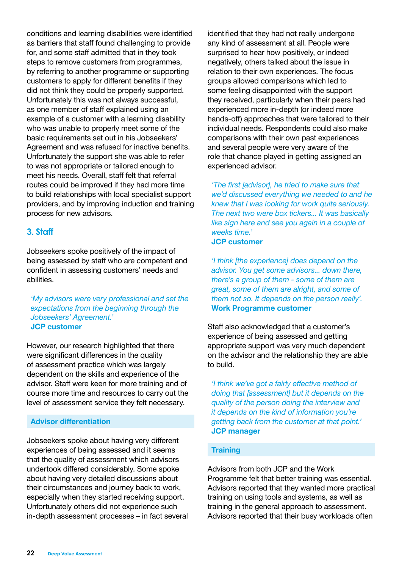conditions and learning disabilities were identified as barriers that staff found challenging to provide for, and some staff admitted that in they took steps to remove customers from programmes, by referring to another programme or supporting customers to apply for different benefits if they did not think they could be properly supported. Unfortunately this was not always successful, as one member of staff explained using an example of a customer with a learning disability who was unable to properly meet some of the basic requirements set out in his Jobseekers' Agreement and was refused for inactive benefits. Unfortunately the support she was able to refer to was not appropriate or tailored enough to meet his needs. Overall, staff felt that referral routes could be improved if they had more time to build relationships with local specialist support providers, and by improving induction and training process for new advisors.

# **3. Staff**

Jobseekers spoke positively of the impact of being assessed by staff who are competent and confident in assessing customers' needs and abilities.

*'My advisors were very professional and set the expectations from the beginning through the Jobseekers' Agreement.'*  **JCP customer**

However, our research highlighted that there were significant differences in the quality of assessment practice which was largely dependent on the skills and experience of the advisor. Staff were keen for more training and of course more time and resources to carry out the level of assessment service they felt necessary.

# **Advisor differentiation**

Jobseekers spoke about having very different experiences of being assessed and it seems that the quality of assessment which advisors undertook differed considerably. Some spoke about having very detailed discussions about their circumstances and journey back to work, especially when they started receiving support. Unfortunately others did not experience such in-depth assessment processes – in fact several identified that they had not really undergone any kind of assessment at all. People were surprised to hear how positively, or indeed negatively, others talked about the issue in relation to their own experiences. The focus groups allowed comparisons which led to some feeling disappointed with the support they received, particularly when their peers had experienced more in-depth (or indeed more hands-off) approaches that were tailored to their individual needs. Respondents could also make comparisons with their own past experiences and several people were very aware of the role that chance played in getting assigned an experienced advisor.

*'The first [advisor], he tried to make sure that we'd discussed everything we needed to and he knew that I was looking for work quite seriously. The next two were box tickers... It was basically like sign here and see you again in a couple of weeks time.'*  **JCP customer**

*'I think [the experience] does depend on the advisor. You get some advisors... down there, there's a group of them - some of them are great, some of them are alright, and some of them not so. It depends on the person really'.*  **Work Programme customer**

Staff also acknowledged that a customer's experience of being assessed and getting appropriate support was very much dependent on the advisor and the relationship they are able to build.

*'I think we've got a fairly effective method of doing that [assessment] but it depends on the quality of the person doing the interview and it depends on the kind of information you're getting back from the customer at that point.'*  **JCP manager**

#### **Training**

Advisors from both JCP and the Work Programme felt that better training was essential. Advisors reported that they wanted more practical training on using tools and systems, as well as training in the general approach to assessment. Advisors reported that their busy workloads often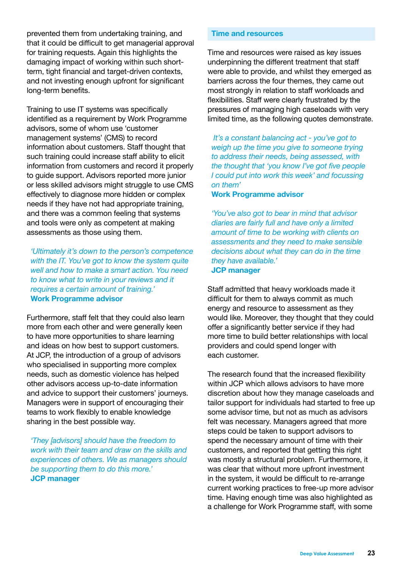prevented them from undertaking training, and that it could be difficult to get managerial approval for training requests. Again this highlights the damaging impact of working within such shortterm, tight financial and target-driven contexts, and not investing enough upfront for significant long-term benefits.

Training to use IT systems was specifically identified as a requirement by Work Programme advisors, some of whom use 'customer management systems' (CMS) to record information about customers. Staff thought that such training could increase staff ability to elicit information from customers and record it properly to guide support. Advisors reported more junior or less skilled advisors might struggle to use CMS effectively to diagnose more hidden or complex needs if they have not had appropriate training, and there was a common feeling that systems and tools were only as competent at making assessments as those using them.

*'Ultimately it's down to the person's competence with the IT. You've got to know the system quite well and how to make a smart action. You need to know what to write in your reviews and it requires a certain amount of training.'*  **Work Programme advisor** 

Furthermore, staff felt that they could also learn more from each other and were generally keen to have more opportunities to share learning and ideas on how best to support customers. At JCP, the introduction of a group of advisors who specialised in supporting more complex needs, such as domestic violence has helped other advisors access up-to-date information and advice to support their customers' journeys. Managers were in support of encouraging their teams to work flexibly to enable knowledge sharing in the best possible way.

*'They [advisors] should have the freedom to work with their team and draw on the skills and experiences of others. We as managers should be supporting them to do this more.'*  **JCP manager**

#### **Time and resources**

Time and resources were raised as key issues underpinning the different treatment that staff were able to provide, and whilst they emerged as barriers across the four themes, they came out most strongly in relation to staff workloads and flexibilities. Staff were clearly frustrated by the pressures of managing high caseloads with very limited time, as the following quotes demonstrate.

 *It's a constant balancing act - you've got to weigh up the time you give to someone trying to address their needs, being assessed, with the thought that 'you know I've got five people I could put into work this week' and focussing on them'*

# **Work Programme advisor**

*'You've also got to bear in mind that advisor diaries are fairly full and have only a limited amount of time to be working with clients on assessments and they need to make sensible decisions about what they can do in the time they have available.'* 

# **JCP manager**

Staff admitted that heavy workloads made it difficult for them to always commit as much energy and resource to assessment as they would like. Moreover, they thought that they could offer a significantly better service if they had more time to build better relationships with local providers and could spend longer with each customer.

The research found that the increased flexibility within JCP which allows advisors to have more discretion about how they manage caseloads and tailor support for individuals had started to free up some advisor time, but not as much as advisors felt was necessary. Managers agreed that more steps could be taken to support advisors to spend the necessary amount of time with their customers, and reported that getting this right was mostly a structural problem. Furthermore, it was clear that without more upfront investment in the system, it would be difficult to re-arrange current working practices to free-up more advisor time. Having enough time was also highlighted as a challenge for Work Programme staff, with some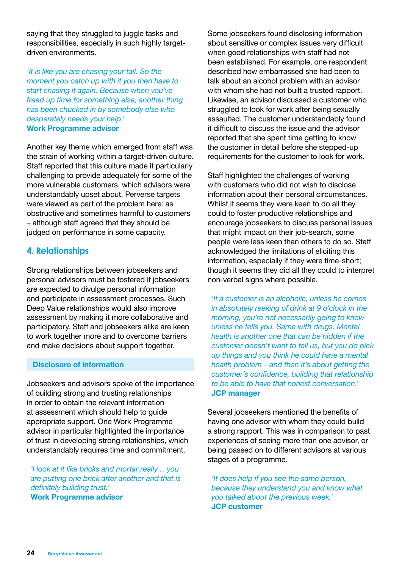saying that they struggled to juggle tasks and responsibilities, especially in such highly targetdriven environments.

*'It is like you are chasing your tail. So the moment you catch up with it you then have to start chasing it again. Because when you've freed up time for something else, another thing has been chucked in by somebody else who desperately needs your help.'*  **Work Programme advisor** 

Another key theme which emerged from staff was the strain of working within a target-driven culture. Staff reported that this culture made it particularly challenging to provide adequately for some of the more vulnerable customers, which advisors were understandably upset about. Perverse targets were viewed as part of the problem here: as obstructive and sometimes harmful to customers – although staff agreed that they should be judged on performance in some capacity.

# **4. Relationships**

Strong relationships between jobseekers and personal advisors must be fostered if jobseekers are expected to divulge personal information and participate in assessment processes. Such Deep Value relationships would also improve assessment by making it more collaborative and participatory. Staff and jobseekers alike are keen to work together more and to overcome barriers and make decisions about support together.

#### **Disclosure of information**

Jobseekers and advisors spoke of the importance of building strong and trusting relationships in order to obtain the relevant information at assessment which should help to guide appropriate support. One Work Programme advisor in particular highlighted the importance of trust in developing strong relationships, which understandably requires time and commitment.

*'I look at it like bricks and mortar really… you are putting one brick after another and that is definitely building trust.'*  **Work Programme advisor** 

Some jobseekers found disclosing information about sensitive or complex issues very difficult when good relationships with staff had not been established. For example, one respondent described how embarrassed she had been to talk about an alcohol problem with an advisor with whom she had not built a trusted rapport. Likewise, an advisor discussed a customer who struggled to look for work after being sexually assaulted. The customer understandably found it difficult to discuss the issue and the advisor reported that she spent time getting to know the customer in detail before she stepped-up requirements for the customer to look for work.

Staff highlighted the challenges of working with customers who did not wish to disclose information about their personal circumstances. Whilst it seems they were keen to do all they could to foster productive relationships and encourage jobseekers to discuss personal issues that might impact on their job-search, some people were less keen than others to do so. Staff acknowledged the limitations of eliciting this information, especially if they were time-short; though it seems they did all they could to interpret non-verbal signs where possible.

*'If a customer is an alcoholic, unless he comes in absolutely reeking of drink at 9 o'clock in the morning, you're not necessarily going to know unless he tells you. Same with drugs. Mental health is another one that can be hidden if the customer doesn't want to tell us, but you do pick up things and you think he could have a mental health problem – and then it's about getting the customer's confidence, building that relationship to be able to have that honest conversation.'* **JCP manager**

Several jobseekers mentioned the benefits of having one advisor with whom they could build a strong rapport. This was in comparison to past experiences of seeing more than one advisor, or being passed on to different advisors at various stages of a programme.

*'It does help if you see the same person, because they understand you and know what you talked about the previous week.'*  **JCP customer**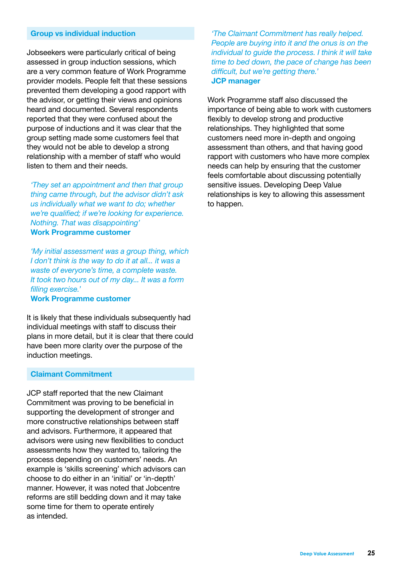#### **Group vs individual induction**

Jobseekers were particularly critical of being assessed in group induction sessions, which are a very common feature of Work Programme provider models. People felt that these sessions prevented them developing a good rapport with the advisor, or getting their views and opinions heard and documented. Several respondents reported that they were confused about the purpose of inductions and it was clear that the group setting made some customers feel that they would not be able to develop a strong relationship with a member of staff who would listen to them and their needs.

*'They set an appointment and then that group thing came through, but the advisor didn't ask us individually what we want to do; whether we're qualified; if we're looking for experience. Nothing. That was disappointing'*  **Work Programme customer**

*'My initial assessment was a group thing, which I don't think is the way to do it at all... it was a waste of everyone's time, a complete waste. It took two hours out of my day... It was a form filling exercise.'* 

#### **Work Programme customer**

It is likely that these individuals subsequently had individual meetings with staff to discuss their plans in more detail, but it is clear that there could have been more clarity over the purpose of the induction meetings.

#### **Claimant Commitment**

JCP staff reported that the new Claimant Commitment was proving to be beneficial in supporting the development of stronger and more constructive relationships between staff and advisors. Furthermore, it appeared that advisors were using new flexibilities to conduct assessments how they wanted to, tailoring the process depending on customers' needs. An example is 'skills screening' which advisors can choose to do either in an 'initial' or 'in-depth' manner. However, it was noted that Jobcentre reforms are still bedding down and it may take some time for them to operate entirely as intended.

*'The Claimant Commitment has really helped. People are buying into it and the onus is on the individual to guide the process. I think it will take time to bed down, the pace of change has been difficult, but we're getting there.'*  **JCP manager**

Work Programme staff also discussed the importance of being able to work with customers flexibly to develop strong and productive relationships. They highlighted that some customers need more in-depth and ongoing assessment than others, and that having good rapport with customers who have more complex needs can help by ensuring that the customer feels comfortable about discussing potentially sensitive issues. Developing Deep Value relationships is key to allowing this assessment to happen.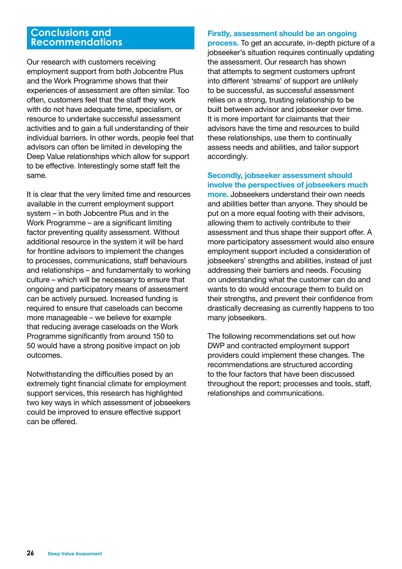# **Conclusions and Recommendations**

Our research with customers receiving employment support from both Jobcentre Plus and the Work Programme shows that their experiences of assessment are often similar. Too often, customers feel that the staff they work with do not have adequate time, specialism, or resource to undertake successful assessment activities and to gain a full understanding of their individual barriers. In other words, people feel that advisors can often be limited in developing the Deep Value relationships which allow for support to be effective. Interestingly some staff felt the same.

It is clear that the very limited time and resources available in the current employment support system – in both Jobcentre Plus and in the Work Programme – are a significant limiting factor preventing quality assessment. Without additional resource in the system it will be hard for frontline advisors to implement the changes to processes, communications, staff behaviours and relationships – and fundamentally to working culture – which will be necessary to ensure that ongoing and participatory means of assessment can be actively pursued. Increased funding is required to ensure that caseloads can become more manageable – we believe for example that reducing average caseloads on the Work Programme significantly from around 150 to 50 would have a strong positive impact on job outcomes.

Notwithstanding the difficulties posed by an extremely tight financial climate for employment support services, this research has highlighted two key ways in which assessment of jobseekers could be improved to ensure effective support can be offered.

#### **Firstly, assessment should be an ongoing**

**process.** To get an accurate, in-depth picture of a jobseeker's situation requires continually updating the assessment. Our research has shown that attempts to segment customers upfront into different 'streams' of support are unlikely to be successful, as successful assessment relies on a strong, trusting relationship to be built between advisor and jobseeker over time. It is more important for claimants that their advisors have the time and resources to build these relationships, use them to continually assess needs and abilities, and tailor support accordingly.

# **Secondly, jobseeker assessment should involve the perspectives of jobseekers much**

**more.** Jobseekers understand their own needs and abilities better than anyone. They should be put on a more equal footing with their advisors, allowing them to actively contribute to their assessment and thus shape their support offer. A more participatory assessment would also ensure employment support included a consideration of jobseekers' strengths and abilities, instead of just addressing their barriers and needs. Focusing on understanding what the customer can do and wants to do would encourage them to build on their strengths, and prevent their confidence from drastically decreasing as currently happens to too many jobseekers.

The following recommendations set out how DWP and contracted employment support providers could implement these changes. The recommendations are structured according to the four factors that have been discussed throughout the report; processes and tools, staff, relationships and communications.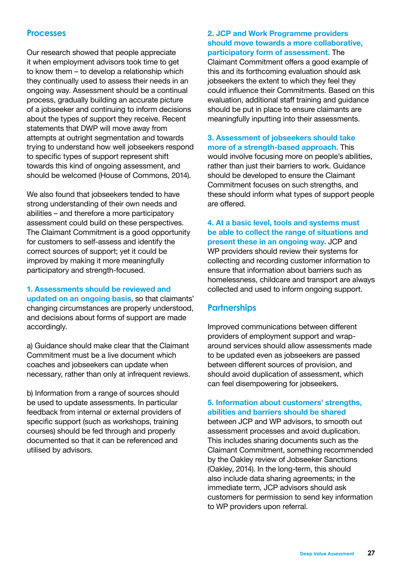# **Processes**

Our research showed that people appreciate it when employment advisors took time to get to know them – to develop a relationship which they continually used to assess their needs in an ongoing way. Assessment should be a continual process, gradually building an accurate picture of a jobseeker and continuing to inform decisions about the types of support they receive. Recent statements that DWP will move away from attempts at outright segmentation and towards trying to understand how well jobseekers respond to specific types of support represent shift towards this kind of ongoing assessment, and should be welcomed (House of Commons, 2014).

We also found that jobseekers tended to have strong understanding of their own needs and abilities – and therefore a more participatory assessment could build on these perspectives. The Claimant Commitment is a good opportunity for customers to self-assess and identify the correct sources of support; yet it could be improved by making it more meaningfully participatory and strength-focused.

# **1. Assessments should be reviewed and updated on an ongoing basis**, so that claimants' changing circumstances are properly understood, and decisions about forms of support are made accordingly.

a) Guidance should make clear that the Claimant Commitment must be a live document which coaches and jobseekers can update when necessary, rather than only at infrequent reviews.

b) Information from a range of sources should be used to update assessments. In particular feedback from internal or external providers of specific support (such as workshops, training courses) should be fed through and properly documented so that it can be referenced and utilised by advisors.

#### **2. JCP and Work Programme providers should move towards a more collaborative, participatory form of assessment.** The

Claimant Commitment offers a good example of this and its forthcoming evaluation should ask jobseekers the extent to which they feel they could influence their Commitments. Based on this evaluation, additional staff training and guidance should be put in place to ensure claimants are meaningfully inputting into their assessments.

**3. Assessment of jobseekers should take more of a strength-based approach.** This would involve focusing more on people's abilities, rather than just their barriers to work. Guidance should be developed to ensure the Claimant Commitment focuses on such strengths, and these should inform what types of support people are offered.

**4. At a basic level, tools and systems must be able to collect the range of situations and present these in an ongoing way.** JCP and WP providers should review their systems for collecting and recording customer information to ensure that information about barriers such as homelessness, childcare and transport are always collected and used to inform ongoing support.

# **Partnerships**

Improved communications between different providers of employment support and wraparound services should allow assessments made to be updated even as jobseekers are passed between different sources of provision, and should avoid duplication of assessment, which can feel disempowering for jobseekers.

#### **5. Information about customers' strengths, abilities and barriers should be shared**

between JCP and WP advisors, to smooth out assessment processes and avoid duplication. This includes sharing documents such as the Claimant Commitment, something recommended by the Oakley review of Jobseeker Sanctions (Oakley, 2014). In the long-term, this should also include data sharing agreements; in the immediate term, JCP advisors should ask customers for permission to send key information to WP providers upon referral.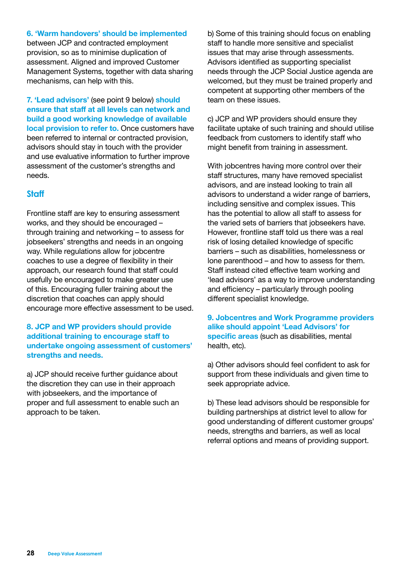#### **6. 'Warm handovers' should be implemented**

between JCP and contracted employment provision, so as to minimise duplication of assessment. Aligned and improved Customer Management Systems, together with data sharing mechanisms, can help with this.

**7. 'Lead advisors'** (see point 9 below) **should ensure that staff at all levels can network and build a good working knowledge of available local provision to refer to.** Once customers have been referred to internal or contracted provision, advisors should stay in touch with the provider and use evaluative information to further improve assessment of the customer's strengths and needs.

# **Staff**

Frontline staff are key to ensuring assessment works, and they should be encouraged – through training and networking – to assess for jobseekers' strengths and needs in an ongoing way. While regulations allow for jobcentre coaches to use a degree of flexibility in their approach, our research found that staff could usefully be encouraged to make greater use of this. Encouraging fuller training about the discretion that coaches can apply should encourage more effective assessment to be used.

# **8. JCP and WP providers should provide additional training to encourage staff to undertake ongoing assessment of customers' strengths and needs.**

a) JCP should receive further guidance about the discretion they can use in their approach with jobseekers, and the importance of proper and full assessment to enable such an approach to be taken.

b) Some of this training should focus on enabling staff to handle more sensitive and specialist issues that may arise through assessments. Advisors identified as supporting specialist needs through the JCP Social Justice agenda are welcomed, but they must be trained properly and competent at supporting other members of the team on these issues.

c) JCP and WP providers should ensure they facilitate uptake of such training and should utilise feedback from customers to identify staff who might benefit from training in assessment.

With jobcentres having more control over their staff structures, many have removed specialist advisors, and are instead looking to train all advisors to understand a wider range of barriers, including sensitive and complex issues. This has the potential to allow all staff to assess for the varied sets of barriers that jobseekers have. However, frontline staff told us there was a real risk of losing detailed knowledge of specific barriers – such as disabilities, homelessness or lone parenthood – and how to assess for them. Staff instead cited effective team working and 'lead advisors' as a way to improve understanding and efficiency – particularly through pooling different specialist knowledge.

**9. Jobcentres and Work Programme providers alike should appoint 'Lead Advisors' for specific areas** (such as disabilities, mental health, etc).

a) Other advisors should feel confident to ask for support from these individuals and given time to seek appropriate advice.

b) These lead advisors should be responsible for building partnerships at district level to allow for good understanding of different customer groups' needs, strengths and barriers, as well as local referral options and means of providing support.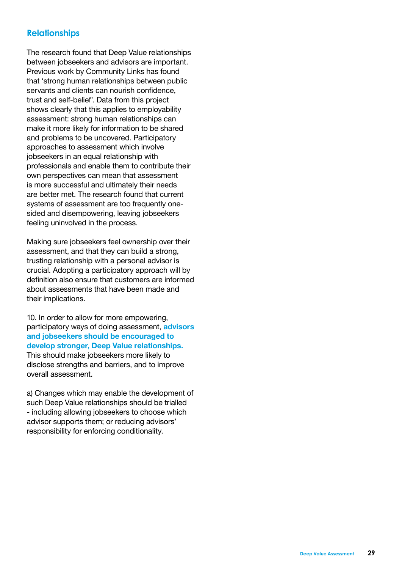# **Relationships**

The research found that Deep Value relationships between jobseekers and advisors are important. Previous work by Community Links has found that 'strong human relationships between public servants and clients can nourish confidence, trust and self-belief'. Data from this project shows clearly that this applies to employability assessment: strong human relationships can make it more likely for information to be shared and problems to be uncovered. Participatory approaches to assessment which involve jobseekers in an equal relationship with professionals and enable them to contribute their own perspectives can mean that assessment is more successful and ultimately their needs are better met. The research found that current systems of assessment are too frequently onesided and disempowering, leaving jobseekers feeling uninvolved in the process.

Making sure jobseekers feel ownership over their assessment, and that they can build a strong, trusting relationship with a personal advisor is crucial. Adopting a participatory approach will by definition also ensure that customers are informed about assessments that have been made and their implications.

10. In order to allow for more empowering, participatory ways of doing assessment, **advisors and jobseekers should be encouraged to develop stronger, Deep Value relationships.** This should make jobseekers more likely to disclose strengths and barriers, and to improve overall assessment.

a) Changes which may enable the development of such Deep Value relationships should be trialled - including allowing jobseekers to choose which advisor supports them; or reducing advisors' responsibility for enforcing conditionality.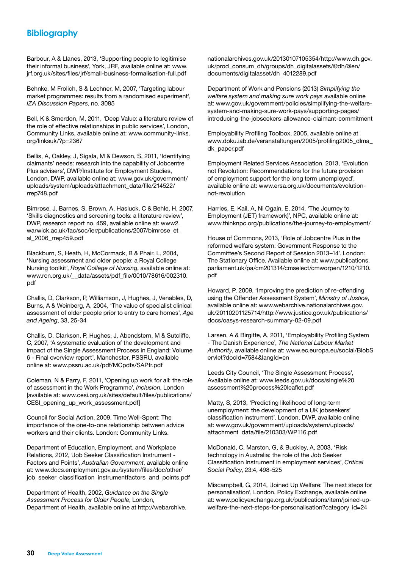# **Bibliography**

Barbour, A & Llanes, 2013, 'Supporting people to legitimise their informal business', York, JRF, available online at: www. jrf.org.uk/sites/files/jrf/small-business-formalisation-full.pdf

Behnke, M Frolich, S & Lechner, M, 2007, 'Targeting labour market programmes: results from a randomised experiment', *IZA Discussion Papers*, no. 3085

Bell, K & Smerdon, M, 2011, 'Deep Value: a literature review of the role of effective relationships in public services', London, Community Links, available online at: www.community-links. org/linksuk/?p=2367

Bellis, A, Oakley, J, Sigala, M & Dewson, S, 2011, 'Identifying claimants' needs: research into the capability of Jobcentre Plus advisers', DWP/Institute for Employment Studies, London, DWP, available online at: www.gov.uk/government/ uploads/system/uploads/attachment\_data/file/214522/ rrep748.pdf

Bimrose, J, Barnes, S, Brown, A, Hasluck, C & Behle, H, 2007, 'Skills diagnostics and screening tools: a literature review', DWP, research report no. 459, available online at: www2. warwick.ac.uk/fac/soc/ier/publications/2007/bimrose\_et\_ al\_2006\_rrep459.pdf

Blackburn, S, Heath, H, McCormack, B & Phair, L, 2004, 'Nursing assessment and older people: a Royal College Nursing toolkit', *Royal College of Nursing*, available online at: www.rcn.org.uk/\_\_data/assets/pdf\_file/0010/78616/002310. pdf

Challis, D, Clarkson, P, Williamson, J, Hughes, J, Venables, D, Burns, A & Weinberg, A, 2004, 'The value of specialist clinical assessment of older people prior to entry to care homes', *Age and Ageing*, 33, 25-34

Challis, D, Clarkson, P, Hughes, J, Abendstern, M & Sutcliffe, C, 2007, 'A systematic evaluation of the development and impact of the Single Assessment Process in England: Volume 6 - Final overview report', Manchester, PSSRU, available online at: www.pssru.ac.uk/pdf/MCpdfs/SAPfr.pdf

Coleman, N & Parry, F, 2011, 'Opening up work for all: the role of assessment in the Work Programme', *Inclusion*, London [available at: www.cesi.org.uk/sites/default/files/publications/ CESI\_opening\_up\_work\_assessment.pdf]

Council for Social Action, 2009. Time Well-Spent: The importance of the one-to-one relationship between advice workers and their clients. London: Community Links.

Department of Education, Employment, and Workplace Relations, 2012, 'Job Seeker Classification Instrument - Factors and Points', *Australian Government*, available online at: www.docs.employment.gov.au/system/files/doc/other/ job\_seeker\_classification\_instrumentfactors\_and\_points.pdf

Department of Health, 2002, *Guidance on the Single Assessment Process for Older People*, London, Department of Health, available online at http://webarchive. nationalarchives.gov.uk/20130107105354/http://www.dh.gov. uk/prod\_consum\_dh/groups/dh\_digitalassets/@dh/@en/ documents/digitalasset/dh\_4012289.pdf

Department of Work and Pensions (2013) *Simplifying the welfare system and making sure work pays* available online at: www.gov.uk/government/policies/simplifying-the-welfaresystem-and-making-sure-work-pays/supporting-pages/ introducing-the-jobseekers-allowance-claimant-commitment

Employability Profiling Toolbox, 2005, available online at www.doku.iab.de/veranstaltungen/2005/profiling2005\_dlma\_ dk\_paper.pdf

Employment Related Services Association, 2013, 'Evolution not Revolution: Recommendations for the future provision of employment support for the long term unemployed', available online at: www.ersa.org.uk/documents/evolutionnot-revolution

Harries, E, Kail, A, Ni Ogain, E, 2014, 'The Journey to Employment (JET) framework)', NPC, available online at: www.thinknpc.org/publications/the-journey-to-employment/

House of Commons, 2013, 'Role of Jobcentre Plus in the reformed welfare system: Government Response to the Committee's Second Report of Session 2013–14'. London: The Stationary Office. Available online at: www.publications. parliament.uk/pa/cm201314/cmselect/cmworpen/1210/1210. pdf

Howard, P, 2009, 'Improving the prediction of re-offending using the Offender Assessment System', *Ministry of Justice*, available online at: www.webarchive.nationalarchives.gov. uk/20110201125714/http://www.justice.gov.uk/publications/ docs/oasys-research-summary-02-09.pdf

Larsen, A & Birgitte, A, 2011, 'Employability Profiling System - The Danish Experience', *The National Labour Market Authority*, available online at: www.ec.europa.eu/social/BlobS ervlet?docId=7584&langId=en

Leeds City Council, 'The Single Assessment Process', Available online at: www.leeds.gov.uk/docs/single%20 assessment%20process%20leaflet.pdf

Matty, S, 2013, 'Predicting likelihood of long-term unemployment: the development of a UK jobseekers' classification instrument', London, DWP, available online at: www.gov.uk/government/uploads/system/uploads/ attachment\_data/file/210303/WP116.pdf

McDonald, C, Marston, G, & Buckley, A, 2003, 'Risk technology in Australia: the role of the Job Seeker Classification Instrument in employment services', *Critical Social Policy*, 23:4, 498-525

Miscampbell, G, 2014, 'Joined Up Welfare: The next steps for personalisation', London, Policy Exchange, available online at: www.policyexchange.org.uk/publications/item/joined-upwelfare-the-next-steps-for-personalisation?category\_id=24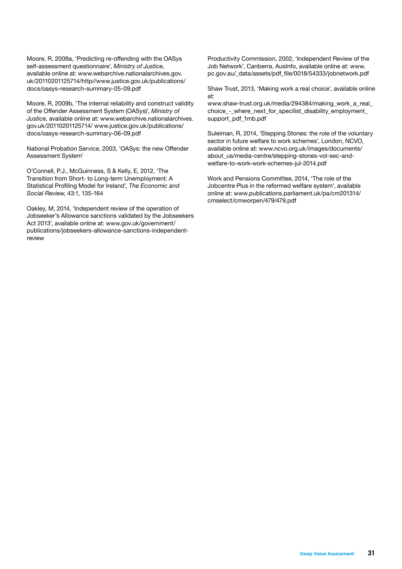Moore, R, 2009a, 'Predicting re-offending with the OASys self-assessment questionnaire', *Ministry of Justice*, available online at: www.webarchive.nationalarchives.gov. uk/20110201125714/http//www.justice.gov.uk/publications/ docs/oasys-research-summary-05-09.pdf

Moore, R, 2009b, 'The internal reliability and construct validity of the Offender Assessment System (OASys)', *Ministry of Justice*, available online at: www.webarchive.nationalarchives. gov.uk/20110201125714/ www.justice.gov.uk/publications/ docs/oasys-research-summary-06-09.pdf

National Probation Service, 2003, 'OASys: the new Offender Assessment System'

O'Connell, P.J., McGuinness, S & Kelly, E, 2012, 'The Transition from Short- to Long-term Unemployment: A Statistical Profiling Model for Ireland', *The Economic and Social Review*, 43:1, 135-164

Oakley, M, 2014, 'Independent review of the operation of Jobseeker's Allowance sanctions validated by the Jobseekers Act 2013', available online at: www.gov.uk/government/ publications/jobseekers-allowance-sanctions-independentreview

Productivity Commission, 2002, 'Independent Review of the Job Network', Canberra, AusInfo, available online at: www. pc.gov.au/\_data/assets/pdf\_file/0018/54333/jobnetwork.pdf

Shaw Trust, 2013, 'Making work a real choice', available online at:

www.shaw-trust.org.uk/media/294384/making\_work\_a\_real\_ choice - where\_next\_for\_specilist\_disability\_employment support\_pdf\_1mb.pdf

Suleiman, R, 2014, 'Stepping Stones: the role of the voluntary sector in future welfare to work schemes', London, NCVO, available online at: www.ncvo.org.uk/images/documents/ about\_us/media-centre/stepping-stones-vol-sec-andwelfare-to-work-work-schemes-jul-2014.pdf

Work and Pensions Committee, 2014, 'The role of the Jobcentre Plus in the reformed welfare system', available online at: www.publications.parliament.uk/pa/cm201314/ cmselect/cmworpen/479/479.pdf